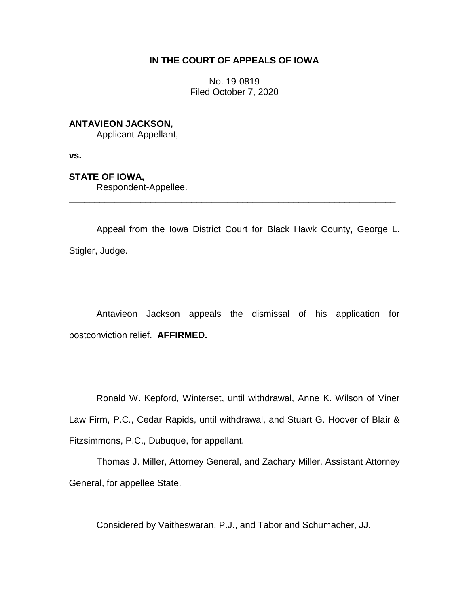## **IN THE COURT OF APPEALS OF IOWA**

No. 19-0819 Filed October 7, 2020

## **ANTAVIEON JACKSON,**

Applicant-Appellant,

**vs.**

## **STATE OF IOWA,**

Respondent-Appellee.

Appeal from the Iowa District Court for Black Hawk County, George L. Stigler, Judge.

\_\_\_\_\_\_\_\_\_\_\_\_\_\_\_\_\_\_\_\_\_\_\_\_\_\_\_\_\_\_\_\_\_\_\_\_\_\_\_\_\_\_\_\_\_\_\_\_\_\_\_\_\_\_\_\_\_\_\_\_\_\_\_\_

Antavieon Jackson appeals the dismissal of his application for postconviction relief. **AFFIRMED.** 

Ronald W. Kepford, Winterset, until withdrawal, Anne K. Wilson of Viner Law Firm, P.C., Cedar Rapids, until withdrawal, and Stuart G. Hoover of Blair & Fitzsimmons, P.C., Dubuque, for appellant.

Thomas J. Miller, Attorney General, and Zachary Miller, Assistant Attorney General, for appellee State.

Considered by Vaitheswaran, P.J., and Tabor and Schumacher, JJ.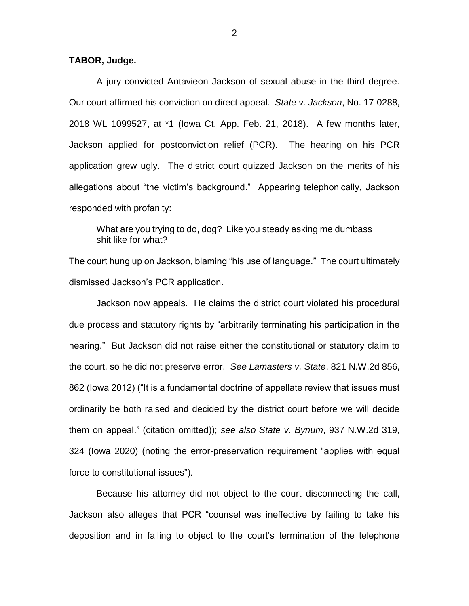## **TABOR, Judge.**

A jury convicted Antavieon Jackson of sexual abuse in the third degree. Our court affirmed his conviction on direct appeal. *State v. Jackson*, No. 17-0288, 2018 WL 1099527, at \*1 (Iowa Ct. App. Feb. 21, 2018). A few months later, Jackson applied for postconviction relief (PCR). The hearing on his PCR application grew ugly. The district court quizzed Jackson on the merits of his allegations about "the victim's background." Appearing telephonically, Jackson responded with profanity:

What are you trying to do, dog? Like you steady asking me dumbass shit like for what?

The court hung up on Jackson, blaming "his use of language." The court ultimately dismissed Jackson's PCR application.

Jackson now appeals. He claims the district court violated his procedural due process and statutory rights by "arbitrarily terminating his participation in the hearing." But Jackson did not raise either the constitutional or statutory claim to the court, so he did not preserve error. *See Lamasters v. State*, 821 N.W.2d 856, 862 (Iowa 2012) ("It is a fundamental doctrine of appellate review that issues must ordinarily be both raised and decided by the district court before we will decide them on appeal." (citation omitted)); *see also State v. Bynum*, 937 N.W.2d 319, 324 (Iowa 2020) (noting the error-preservation requirement "applies with equal force to constitutional issues").

Because his attorney did not object to the court disconnecting the call, Jackson also alleges that PCR "counsel was ineffective by failing to take his deposition and in failing to object to the court's termination of the telephone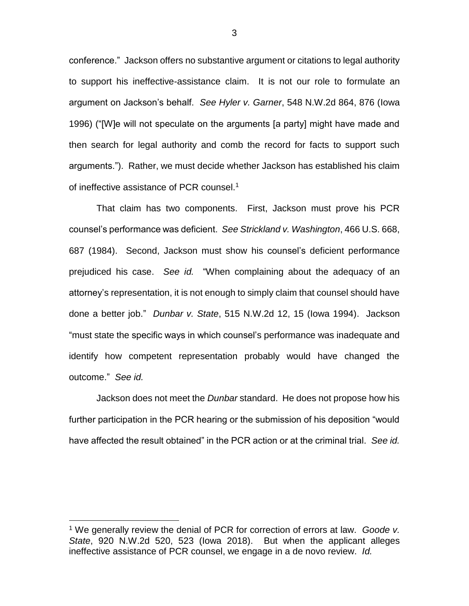conference." Jackson offers no substantive argument or citations to legal authority to support his ineffective-assistance claim. It is not our role to formulate an argument on Jackson's behalf. *See Hyler v. Garner*, 548 N.W.2d 864, 876 (Iowa 1996) ("[W]e will not speculate on the arguments [a party] might have made and then search for legal authority and comb the record for facts to support such arguments."). Rather, we must decide whether Jackson has established his claim of ineffective assistance of PCR counsel.<sup>1</sup>

That claim has two components. First, Jackson must prove his PCR counsel's performance was deficient. *See Strickland v. Washington*, 466 U.S. 668, 687 (1984). Second, Jackson must show his counsel's deficient performance prejudiced his case. *See id.* "When complaining about the adequacy of an attorney's representation, it is not enough to simply claim that counsel should have done a better job." *Dunbar v. State*, 515 N.W.2d 12, 15 (Iowa 1994). Jackson "must state the specific ways in which counsel's performance was inadequate and identify how competent representation probably would have changed the outcome." *See id.*

Jackson does not meet the *Dunbar* standard. He does not propose how his further participation in the PCR hearing or the submission of his deposition "would have affected the result obtained" in the PCR action or at the criminal trial. *See id.*

 $\overline{a}$ 

3

<sup>1</sup> We generally review the denial of PCR for correction of errors at law. *Goode v. State*, 920 N.W.2d 520, 523 (Iowa 2018). But when the applicant alleges ineffective assistance of PCR counsel, we engage in a de novo review. *Id.*